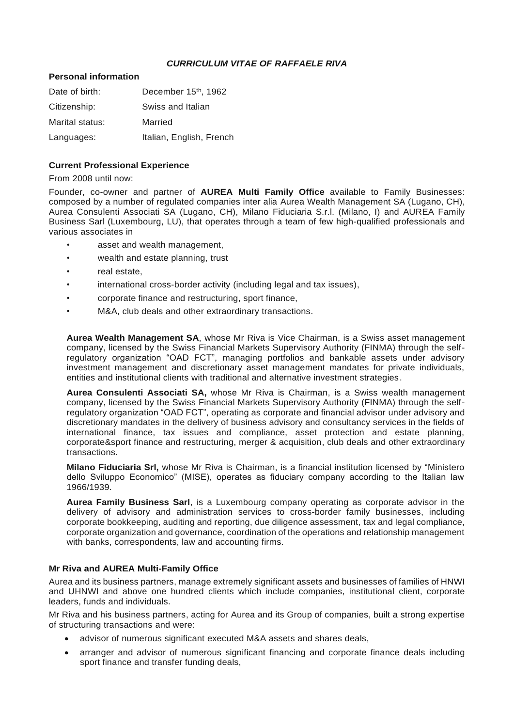# *CURRICULUM VITAE OF RAFFAELE RIVA*

#### **Personal information**

| Date of birth:  | December 15th, 1962      |
|-----------------|--------------------------|
| Citizenship:    | Swiss and Italian        |
| Marital status: | Married                  |
| Languages:      | Italian, English, French |

### **Current Professional Experience**

From 2008 until now:

Founder, co-owner and partner of **AUREA Multi Family Office** available to Family Businesses: composed by a number of regulated companies inter alia Aurea Wealth Management SA (Lugano, CH), Aurea Consulenti Associati SA (Lugano, CH), Milano Fiduciaria S.r.l. (Milano, I) and AUREA Family Business Sarl (Luxembourg, LU), that operates through a team of few high-qualified professionals and various associates in

- asset and wealth management,
- wealth and estate planning, trust
- real estate.
- international cross-border activity (including legal and tax issues),
- corporate finance and restructuring, sport finance,
- M&A, club deals and other extraordinary transactions.

**Aurea Wealth Management SA**, whose Mr Riva is Vice Chairman, is a Swiss asset management company, licensed by the Swiss Financial Markets Supervisory Authority (FINMA) through the selfregulatory organization "OAD FCT", managing portfolios and bankable assets under advisory investment management and discretionary asset management mandates for private individuals, entities and institutional clients with traditional and alternative investment strategies.

**Aurea Consulenti Associati SA,** whose Mr Riva is Chairman, is a Swiss wealth management company, licensed by the Swiss Financial Markets Supervisory Authority (FINMA) through the selfregulatory organization "OAD FCT", operating as corporate and financial advisor under advisory and discretionary mandates in the delivery of business advisory and consultancy services in the fields of international finance, tax issues and compliance, asset protection and estate planning, corporate&sport finance and restructuring, merger & acquisition, club deals and other extraordinary transactions.

**Milano Fiduciaria Srl,** whose Mr Riva is Chairman, is a financial institution licensed by "Ministero dello Sviluppo Economico" (MISE), operates as fiduciary company according to the Italian law 1966/1939.

**Aurea Family Business Sarl**, is a Luxembourg company operating as corporate advisor in the delivery of advisory and administration services to cross-border family businesses, including corporate bookkeeping, auditing and reporting, due diligence assessment, tax and legal compliance, corporate organization and governance, coordination of the operations and relationship management with banks, correspondents, law and accounting firms.

## **Mr Riva and AUREA Multi-Family Office**

Aurea and its business partners, manage extremely significant assets and businesses of families of HNWI and UHNWI and above one hundred clients which include companies, institutional client, corporate leaders, funds and individuals.

Mr Riva and his business partners, acting for Aurea and its Group of companies, built a strong expertise of structuring transactions and were:

- advisor of numerous significant executed M&A assets and shares deals,
- arranger and advisor of numerous significant financing and corporate finance deals including sport finance and transfer funding deals,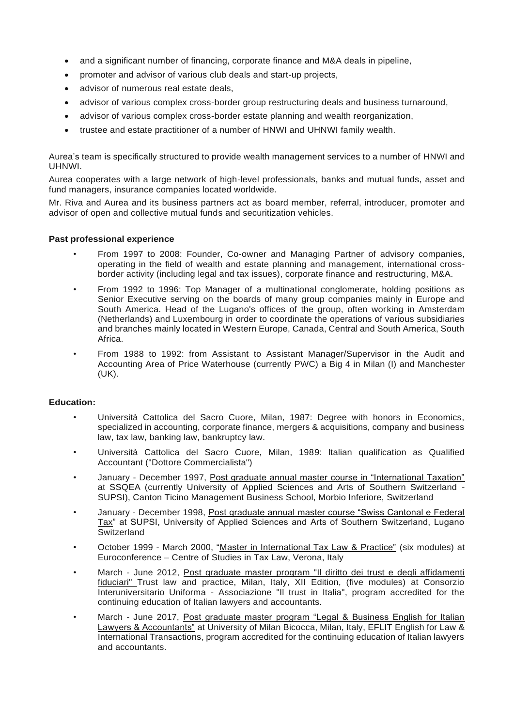- and a significant number of financing, corporate finance and M&A deals in pipeline,
- promoter and advisor of various club deals and start-up projects,
- advisor of numerous real estate deals,
- advisor of various complex cross-border group restructuring deals and business turnaround,
- advisor of various complex cross-border estate planning and wealth reorganization,
- trustee and estate practitioner of a number of HNWI and UHNWI family wealth.

Aurea's team is specifically structured to provide wealth management services to a number of HNWI and UHNWI.

Aurea cooperates with a large network of high-level professionals, banks and mutual funds, asset and fund managers, insurance companies located worldwide.

Mr. Riva and Aurea and its business partners act as board member, referral, introducer, promoter and advisor of open and collective mutual funds and securitization vehicles.

### **Past professional experience**

- From 1997 to 2008: Founder, Co-owner and Managing Partner of advisory companies, operating in the field of wealth and estate planning and management, international crossborder activity (including legal and tax issues), corporate finance and restructuring, M&A.
- From 1992 to 1996: Top Manager of a multinational conglomerate, holding positions as Senior Executive serving on the boards of many group companies mainly in Europe and South America. Head of the Lugano's offices of the group, often working in Amsterdam (Netherlands) and Luxembourg in order to coordinate the operations of various subsidiaries and branches mainly located in Western Europe, Canada, Central and South America, South Africa.
- From 1988 to 1992: from Assistant to Assistant Manager/Supervisor in the Audit and Accounting Area of Price Waterhouse (currently PWC) a Big 4 in Milan (I) and Manchester (UK).

## **Education:**

- Università Cattolica del Sacro Cuore, Milan, 1987: Degree with honors in Economics, specialized in accounting, corporate finance, mergers & acquisitions, company and business law, tax law, banking law, bankruptcy law.
- Università Cattolica del Sacro Cuore, Milan, 1989: ltalian qualification as Qualified Accountant ("Dottore Commercialista")
- January December 1997, Post graduate annual master course in "International Taxation" at SSQEA (currently University of Applied Sciences and Arts of Southern Switzerland - SUPSI), Canton Ticino Management Business School, Morbio Inferiore, Switzerland
- January December 1998, Post graduate annual master course "Swiss Cantonal e Federal Tax" at SUPSI, University of Applied Sciences and Arts of Southern Switzerland, Lugano Switzerland
- October 1999 March 2000, "Master in International Tax Law & Practice" (six modules) at Euroconference – Centre of Studies in Tax Law, Verona, Italy
- March June 2012, Post graduate master program "Il diritto dei trust e degli affidamenti fiduciari" Trust law and practice, Milan, Italy, XII Edition, (five modules) at Consorzio Interuniversitario Uniforma - Associazione "Il trust in Italia", program accredited for the continuing education of Italian lawyers and accountants.
- March June 2017, Post graduate master program "Legal & Business English for Italian Lawyers & Accountants" at University of Milan Bicocca, Milan, Italy, EFLIT English for Law & International Transactions, program accredited for the continuing education of Italian lawyers and accountants.